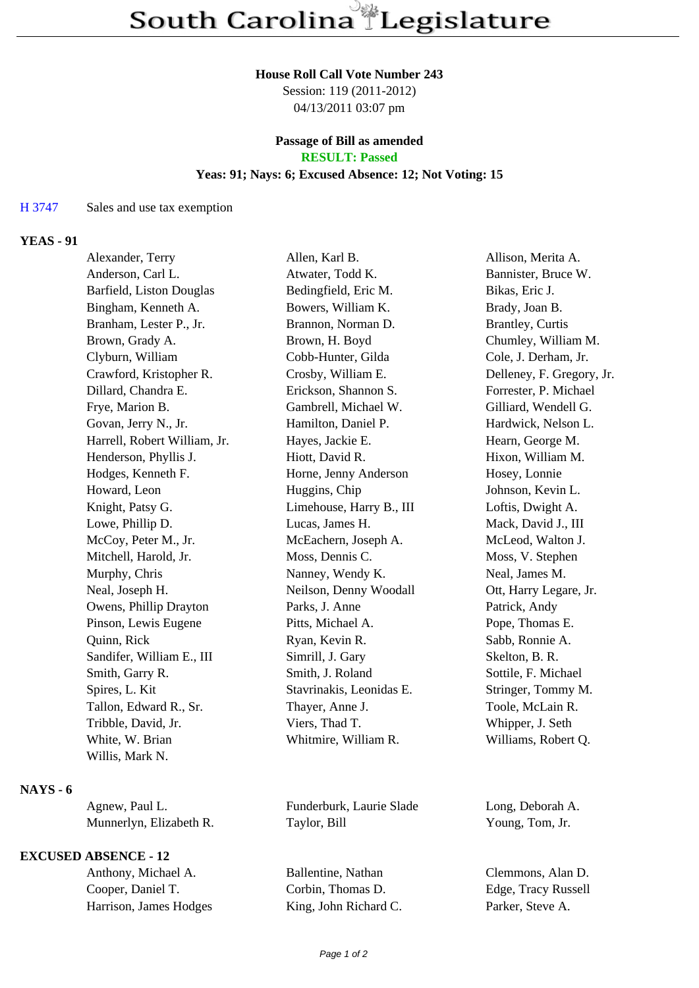#### **House Roll Call Vote Number 243**

Session: 119 (2011-2012) 04/13/2011 03:07 pm

### **Passage of Bill as amended RESULT: Passed**

# **Yeas: 91; Nays: 6; Excused Absence: 12; Not Voting: 15**

#### H 3747 Sales and use tax exemption

# **YEAS - 91**

| Alexander, Terry             | Allen, Karl B.           | Allison, Merita A.        |
|------------------------------|--------------------------|---------------------------|
| Anderson, Carl L.            | Atwater, Todd K.         | Bannister, Bruce W.       |
| Barfield, Liston Douglas     | Bedingfield, Eric M.     | Bikas, Eric J.            |
| Bingham, Kenneth A.          | Bowers, William K.       | Brady, Joan B.            |
| Branham, Lester P., Jr.      | Brannon, Norman D.       | <b>Brantley</b> , Curtis  |
| Brown, Grady A.              | Brown, H. Boyd           | Chumley, William M.       |
| Clyburn, William             | Cobb-Hunter, Gilda       | Cole, J. Derham, Jr.      |
| Crawford, Kristopher R.      | Crosby, William E.       | Delleney, F. Gregory, Jr. |
| Dillard, Chandra E.          | Erickson, Shannon S.     | Forrester, P. Michael     |
| Frye, Marion B.              | Gambrell, Michael W.     | Gilliard, Wendell G.      |
| Govan, Jerry N., Jr.         | Hamilton, Daniel P.      | Hardwick, Nelson L.       |
| Harrell, Robert William, Jr. | Hayes, Jackie E.         | Hearn, George M.          |
| Henderson, Phyllis J.        | Hiott, David R.          | Hixon, William M.         |
| Hodges, Kenneth F.           | Horne, Jenny Anderson    | Hosey, Lonnie             |
| Howard, Leon                 | Huggins, Chip            | Johnson, Kevin L.         |
| Knight, Patsy G.             | Limehouse, Harry B., III | Loftis, Dwight A.         |
| Lowe, Phillip D.             | Lucas, James H.          | Mack, David J., III       |
| McCoy, Peter M., Jr.         | McEachern, Joseph A.     | McLeod, Walton J.         |
| Mitchell, Harold, Jr.        | Moss, Dennis C.          | Moss, V. Stephen          |
| Murphy, Chris                | Nanney, Wendy K.         | Neal, James M.            |
| Neal, Joseph H.              | Neilson, Denny Woodall   | Ott, Harry Legare, Jr.    |
| Owens, Phillip Drayton       | Parks, J. Anne           | Patrick, Andy             |
| Pinson, Lewis Eugene         | Pitts, Michael A.        | Pope, Thomas E.           |
| Quinn, Rick                  | Ryan, Kevin R.           | Sabb, Ronnie A.           |
| Sandifer, William E., III    | Simrill, J. Gary         | Skelton, B. R.            |
| Smith, Garry R.              | Smith, J. Roland         | Sottile, F. Michael       |
| Spires, L. Kit               | Stavrinakis, Leonidas E. | Stringer, Tommy M.        |
| Tallon, Edward R., Sr.       | Thayer, Anne J.          | Toole, McLain R.          |
| Tribble, David, Jr.          | Viers, Thad T.           | Whipper, J. Seth          |
| White, W. Brian              | Whitmire, William R.     | Williams, Robert Q.       |
| Willis, Mark N.              |                          |                           |
|                              |                          |                           |

# **NAYS - 6**

| Agnew, Paul L.          | Fund  |
|-------------------------|-------|
| Munnerlyn, Elizabeth R. | Taylo |

## **EXCUSED ABSENCE - 12**

Cooper, Daniel T. Corbin, Thomas D. Edge, Tracy Russell<br>Harrison, James Hodges King, John Richard C. Parker, Steve A. Harrison, James Hodges King, John Richard C. Parker, Steve A.

erburk, Laurie Slade Long, Deborah A. or, Bill Young, Tom, Jr.

Anthony, Michael A. Ballentine, Nathan Clemmons, Alan D.